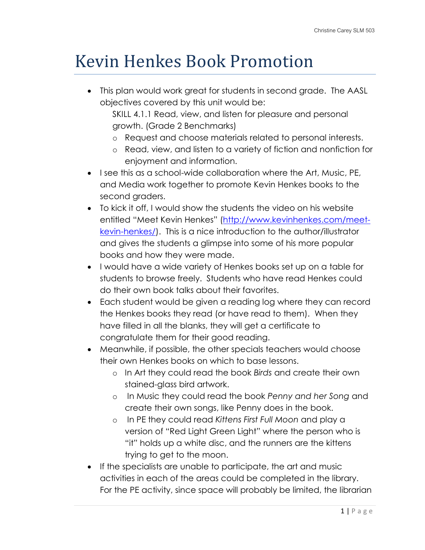## Kevin Henkes Book Promotion

• This plan would work great for students in second grade. The AASL objectives covered by this unit would be:

SKILL 4.1.1 Read, view, and listen for pleasure and personal growth. (Grade 2 Benchmarks)

- o Request and choose materials related to personal interests.
- o Read, view, and listen to a variety of fiction and nonfiction for enjoyment and information.
- I see this as a school-wide collaboration where the Art, Music, PE, and Media work together to promote Kevin Henkes books to the second graders.
- To kick it off, I would show the students the video on his website entitled "Meet Kevin Henkes" ([http://www.kevinhenkes.com/meet](http://www.kevinhenkes.com/meet-kevin-henkes/)[kevin-henkes/\)](http://www.kevinhenkes.com/meet-kevin-henkes/). This is a nice introduction to the author/illustrator and gives the students a glimpse into some of his more popular books and how they were made.
- I would have a wide variety of Henkes books set up on a table for students to browse freely. Students who have read Henkes could do their own book talks about their favorites.
- Each student would be given a reading log where they can record the Henkes books they read (or have read to them). When they have filled in all the blanks, they will get a certificate to congratulate them for their good reading.
- Meanwhile, if possible, the other specials teachers would choose their own Henkes books on which to base lessons.
	- o In Art they could read the book *Birds* and create their own stained-glass bird artwork.
	- o In Music they could read the book *Penny and her Song* and create their own songs, like Penny does in the book.
	- o In PE they could read *Kittens First Full Moon* and play a version of "Red Light Green Light" where the person who is "it" holds up a white disc, and the runners are the kittens trying to get to the moon.
- If the specialists are unable to participate, the art and music activities in each of the areas could be completed in the library. For the PE activity, since space will probably be limited, the librarian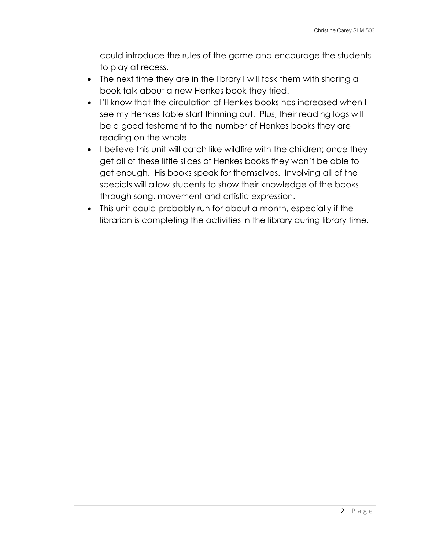could introduce the rules of the game and encourage the students to play at recess.

- The next time they are in the library I will task them with sharing a book talk about a new Henkes book they tried.
- I'll know that the circulation of Henkes books has increased when I see my Henkes table start thinning out. Plus, their reading logs will be a good testament to the number of Henkes books they are reading on the whole.
- I believe this unit will catch like wildfire with the children; once they get all of these little slices of Henkes books they won't be able to get enough. His books speak for themselves. Involving all of the specials will allow students to show their knowledge of the books through song, movement and artistic expression.
- This unit could probably run for about a month, especially if the librarian is completing the activities in the library during library time.